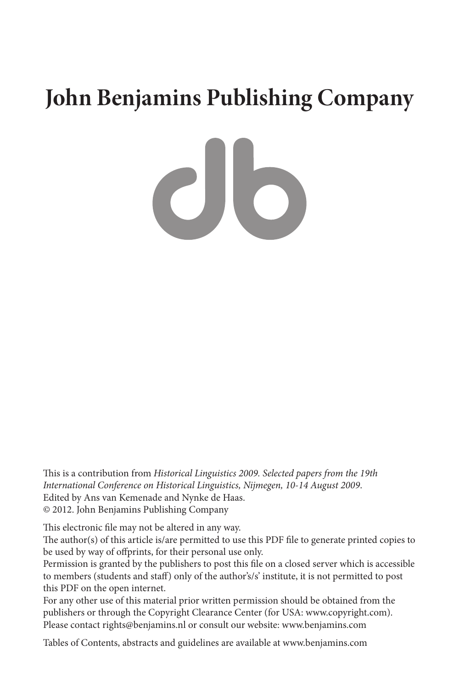# **John Benjamins Publishing Company**

CIO

This is a contribution from *Historical Linguistics 2009. Selected papers from the 19th International Conference on Historical Linguistics, Nijmegen, 10-14 August 2009*. Edited by Ans van Kemenade and Nynke de Haas. © 2012. John Benjamins Publishing Company

This electronic file may not be altered in any way.

The author(s) of this article is/are permitted to use this PDF file to generate printed copies to be used by way of offprints, for their personal use only.

Permission is granted by the publishers to post this file on a closed server which is accessible to members (students and staff) only of the author's/s' institute, it is not permitted to post this PDF on the open internet.

For any other use of this material prior written permission should be obtained from the publishers or through the Copyright Clearance Center (for USA: www.copyright.com). Please contact rights@benjamins.nl or consult our website: www.benjamins.com

Tables of Contents, abstracts and guidelines are available at www.benjamins.com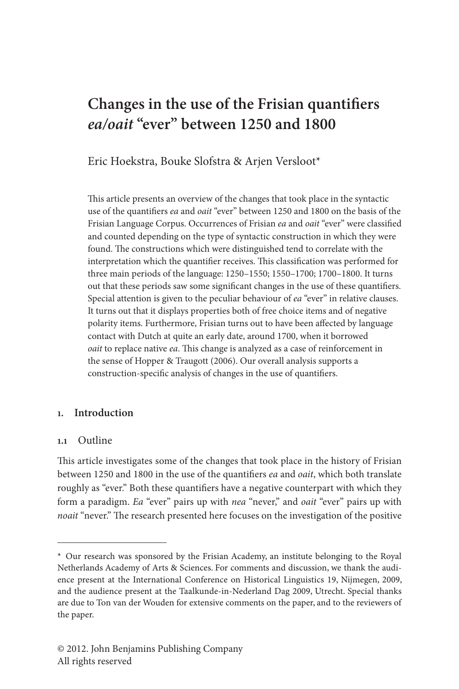# **Changes in the use of the Frisian quantifiers**  *ea/oait* **"ever" between 1250 and 1800**

Eric Hoekstra, Bouke Slofstra & Arjen Versloot\*

This article presents an overview of the changes that took place in the syntactic use of the quantifiers *ea* and *oait* "ever" between 1250 and 1800 on the basis of the Frisian Language Corpus. Occurrences of Frisian *ea* and *oait* "ever" were classified and counted depending on the type of syntactic construction in which they were found. The constructions which were distinguished tend to correlate with the interpretation which the quantifier receives. This classification was performed for three main periods of the language: 1250–1550; 1550–1700; 1700–1800. It turns out that these periods saw some significant changes in the use of these quantifiers. Special attention is given to the peculiar behaviour of *ea* "ever" in relative clauses. It turns out that it displays properties both of free choice items and of negative polarity items. Furthermore, Frisian turns out to have been affected by language contact with Dutch at quite an early date, around 1700, when it borrowed *oait* to replace native *ea*. This change is analyzed as a case of reinforcement in the sense of Hopper & Traugott (2006). Our overall analysis supports a construction-specific analysis of changes in the use of quantifiers.

# **1. Introduction**

# **1.1**  Outline

This article investigates some of the changes that took place in the history of Frisian between 1250 and 1800 in the use of the quantifiers *ea* and *oait*, which both translate roughly as "ever." Both these quantifiers have a negative counterpart with which they form a paradigm. *Ea* "ever" pairs up with *nea* "never," and *oait* "ever" pairs up with *noait* "never." The research presented here focuses on the investigation of the positive

<sup>\*</sup> Our research was sponsored by the Frisian Academy, an institute belonging to the Royal Netherlands Academy of Arts & Sciences. For comments and discussion, we thank the audience present at the International Conference on Historical Linguistics 19, Nijmegen, 2009, and the audience present at the Taalkunde-in-Nederland Dag 2009, Utrecht. Special thanks are due to Ton van der Wouden for extensive comments on the paper, and to the reviewers of the paper.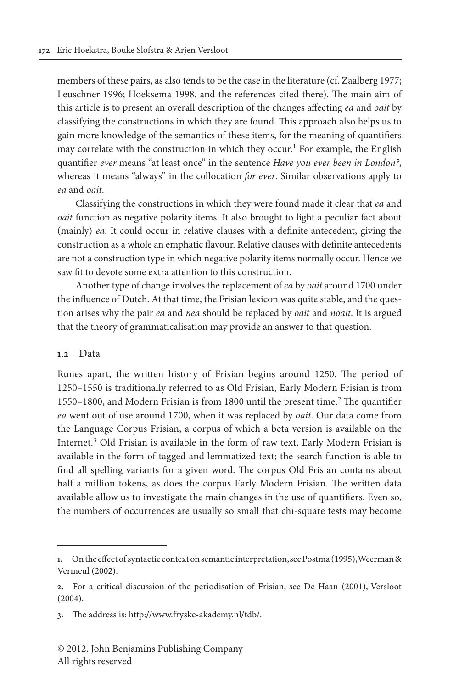members of these pairs, as also tends to be the case in the literature (cf. [Zaalberg 1977;](#page-19-0) [Leuschner 1996](#page-18-0); [Hoeksema 1998](#page-18-1), and the references cited there). The main aim of this article is to present an overall description of the changes affecting *ea* and *oait* by classifying the constructions in which they are found. This approach also helps us to gain more knowledge of the semantics of these items, for the meaning of quantifiers may correlate with the construction in which they occur.<sup>1</sup> For example, the English quantifier *ever* means "at least once" in the sentence *Have you ever been in London?*, whereas it means "always" in the collocation *for ever*. Similar observations apply to *ea* and *oait*.

Classifying the constructions in which they were found made it clear that *ea* and *oait* function as negative polarity items. It also brought to light a peculiar fact about (mainly) *ea*. It could occur in relative clauses with a definite antecedent, giving the construction as a whole an emphatic flavour. Relative clauses with definite antecedents are not a construction type in which negative polarity items normally occur. Hence we saw fit to devote some extra attention to this construction.

Another type of change involves the replacement of *ea* by *oait* around 1700 under the influence of Dutch. At that time, the Frisian lexicon was quite stable, and the question arises why the pair *ea* and *nea* should be replaced by *oait* and *noait*. It is argued that the theory of grammaticalisation may provide an answer to that question.

#### **1.2** Data

Runes apart, the written history of Frisian begins around 1250. The period of 1250–1550 is traditionally referred to as Old Frisian, Early Modern Frisian is from 1550–1800, and Modern Frisian is from 1800 until the present time.<sup>2</sup> The quantifier *ea* went out of use around 1700, when it was replaced by *oait*. Our data come from the Language Corpus Frisian, a corpus of which a beta version is available on the Internet.3 Old Frisian is available in the form of raw text, Early Modern Frisian is available in the form of tagged and lemmatized text; the search function is able to find all spelling variants for a given word. The corpus Old Frisian contains about half a million tokens, as does the corpus Early Modern Frisian. The written data available allow us to investigate the main changes in the use of quantifiers. Even so, the numbers of occurrences are usually so small that chi-square tests may become

**<sup>1.</sup>**  On the effect of syntactic context on semantic interpretation, see [Postma \(1995\)](#page-18-2)[, Weerman &](#page-19-1)  [Vermeul \(2002\)](#page-19-1).

**<sup>2.</sup>**  For a critical discussion of the periodisation of Frisian, see [De Haan \(2001\),](#page-18-3) [Versloot](#page-19-2)  [\(2004\).](#page-19-2)

**<sup>3.</sup>**  The address is: http://www.fryske-akademy.nl/tdb/.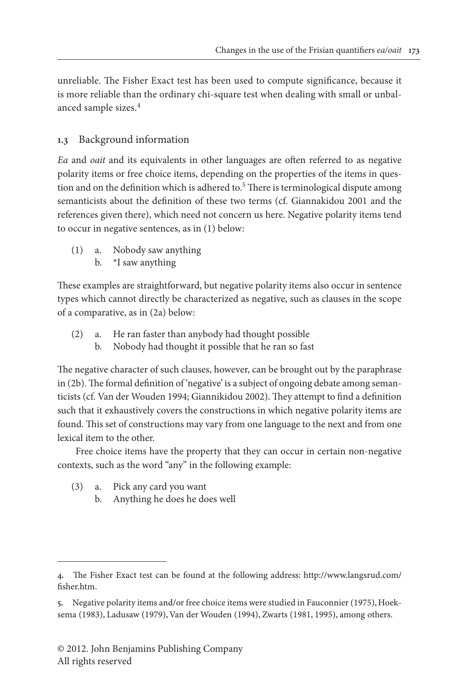unreliable. The Fisher Exact test has been used to compute significance, because it is more reliable than the ordinary chi-square test when dealing with small or unbalanced sample sizes.<sup>4</sup>

# **1.3**  Background information

*Ea* and *oait* and its equivalents in other languages are often referred to as negative polarity items or free choice items, depending on the properties of the items in question and on the definition which is adhered to.<sup>5</sup> There is terminological dispute among semanticists about the definition of these two terms (cf. [Giannakidou 2001](#page-18-4) and the references given there), which need not concern us here. Negative polarity items tend to occur in negative sentences, as in (1) below:

- (1) a. Nobody saw anything
	- b. \*I saw anything

These examples are straightforward, but negative polarity items also occur in sentence types which cannot directly be characterized as negative, such as clauses in the scope of a comparative, as in (2a) below:

- (2) a. He ran faster than anybody had thought possible
	- b. Nobody had thought it possible that he ran so fast

The negative character of such clauses, however, can be brought out by the paraphrase in (2b). The formal definition of 'negative' is a subject of ongoing debate among semanticists (cf. Van der [Wouden 1994;](#page-19-3) [Giannikidou 2002](#page-18-5)). They attempt to find a definition such that it exhaustively covers the constructions in which negative polarity items are found. This set of constructions may vary from one language to the next and from one lexical item to the other.

Free choice items have the property that they can occur in certain non-negative contexts, such as the word "any" in the following example:

- (3) a. Pick any card you want
	- b. Anything he does he does well

**<sup>4.</sup>**  The Fisher Exact test can be found at the following address: http://www.langsrud.com/ fisher.htm.

**<sup>5.</sup>**  Negative polarity items and/or free choice items were studied in [Fauconnier \(1975\)](#page-18-6), [Hoek](#page-18-7)[sema \(1983\),](#page-18-7) [Ladusaw \(1979\),](#page-18-8) [Van der Wouden \(1994\)](#page-19-3), [Zwarts \(1981](#page-19-4), [1995](#page-19-5)), among others.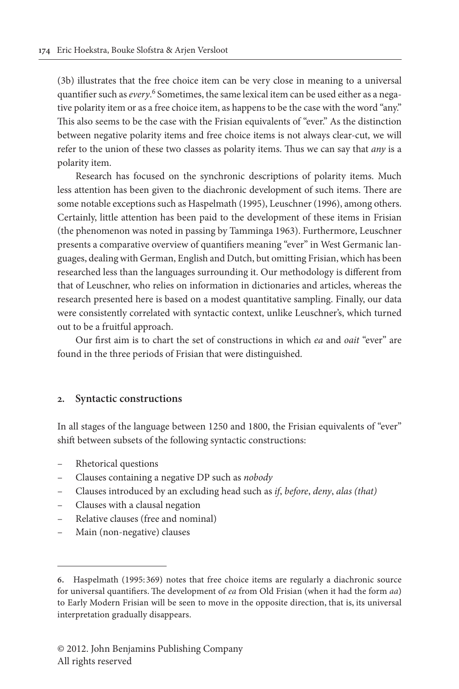(3b) illustrates that the free choice item can be very close in meaning to a universal quantifier such as *every*. 6 Sometimes, the same lexical item can be used either as a negative polarity item or as a free choice item, as happens to be the case with the word "any." This also seems to be the case with the Frisian equivalents of "ever." As the distinction between negative polarity items and free choice items is not always clear-cut, we will refer to the union of these two classes as polarity items. Thus we can say that *any* is a polarity item.

Research has focused on the synchronic descriptions of polarity items. Much less attention has been given to the diachronic development of such items. There are some notable exceptions such as [Haspelmath \(1995\)](#page-18-9), [Leuschner \(1996\)](#page-18-0), among others. Certainly, little attention has been paid to the development of these items in Frisian (the phenomenon was noted in passing by [Tamminga 1963](#page-19-6)). Furthermore, Leuschner presents a comparative overview of quantifiers meaning "ever" in West Germanic languages, dealing with German, English and Dutch, but omitting Frisian, which has been researched less than the languages surrounding it. Our methodology is different from that of Leuschner, who relies on information in dictionaries and articles, whereas the research presented here is based on a modest quantitative sampling. Finally, our data were consistently correlated with syntactic context, unlike Leuschner's, which turned out to be a fruitful approach.

Our first aim is to chart the set of constructions in which *ea* and *oait* "ever" are found in the three periods of Frisian that were distinguished.

#### **2. Syntactic constructions**

In all stages of the language between 1250 and 1800, the Frisian equivalents of "ever" shift between subsets of the following syntactic constructions:

- Rhetorical questions
- Clauses containing a negative DP such as *nobody*
- Clauses introduced by an excluding head such as *if*, *before*, *deny*, *alas (that)*
- Clauses with a clausal negation
- Relative clauses (free and nominal)
- Main (non-negative) clauses

**<sup>6.</sup>**  [Haspelmath \(1995](#page-18-9):369) notes that free choice items are regularly a diachronic source for universal quantifiers. The development of *ea* from Old Frisian (when it had the form *aa*) to Early Modern Frisian will be seen to move in the opposite direction, that is, its universal interpretation gradually disappears.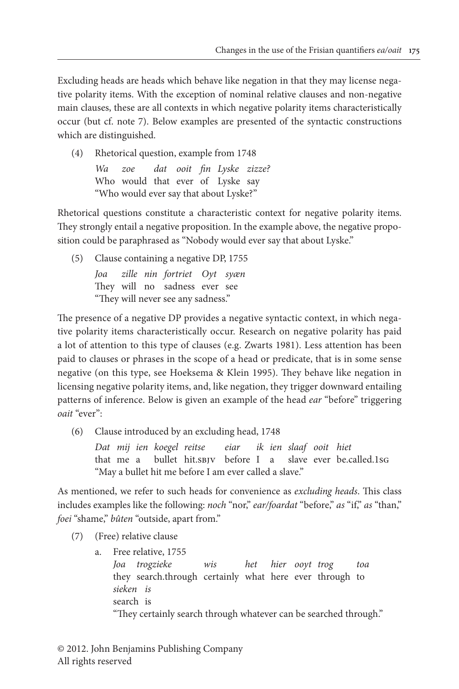Excluding heads are heads which behave like negation in that they may license negative polarity items. With the exception of nominal relative clauses and non-negative main clauses, these are all contexts in which negative polarity items characteristically occur (but cf. note 7). Below examples are presented of the syntactic constructions which are distinguished.

(4) Rhetorical question, example from 1748

 *Wa zoe dat ooit fin Lyske zizze?* Who would that ever of Lyske say "Who would ever say that about Lyske?"

Rhetorical questions constitute a characteristic context for negative polarity items. They strongly entail a negative proposition. In the example above, the negative proposition could be paraphrased as "Nobody would ever say that about Lyske."

(5) Clause containing a negative DP, 1755 *Joa zille nin fortriet Oyt syæn* They will no sadness ever see "They will never see any sadness."

The presence of a negative DP provides a negative syntactic context, in which negative polarity items characteristically occur. Research on negative polarity has paid a lot of attention to this type of clauses (e.g. [Zwarts 1981\)](#page-19-4). Less attention has been paid to clauses or phrases in the scope of a head or predicate, that is in some sense negative (on this type, see [Hoeksema & Klein 1995\)](#page-18-10). They behave like negation in licensing negative polarity items, and, like negation, they trigger downward entailing patterns of inference. Below is given an example of the head *ear* "before" triggering *oait* "ever":

(6) Clause introduced by an excluding head, 1748

 *Dat mij ien koegel reitse eiar ik ien slaaf ooit hiet* that me a bullet hit.spiv before I a slave ever be.called.1sg "May a bullet hit me before I am ever called a slave."

As mentioned, we refer to such heads for convenience as *excluding heads*. This class includes examples like the following: *noch* "nor," *ear/foardat* "before," *as* "if," *as* "than," *foei* "shame," *bûten* "outside, apart from."

- (7) (Free) relative clause
	- a. Free relative, 1755 *Joa trogzieke wis het hier ooyt trog toa* they search.through certainly what here ever through to *sieken is* search is "They certainly search through whatever can be searched through."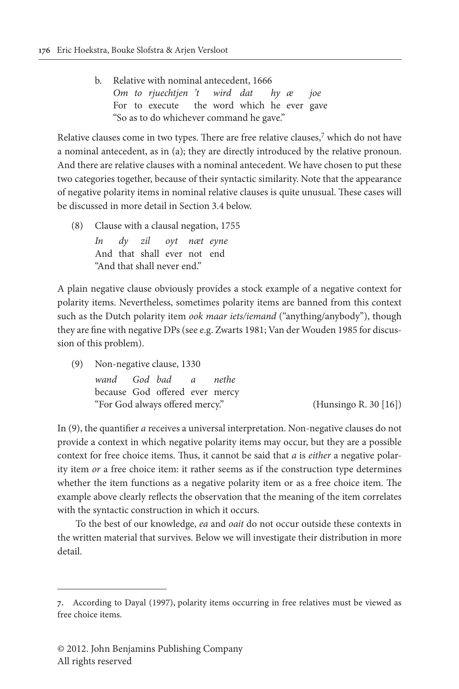b. Relative with nominal antecedent, 1666 *Om to rjuechtjen 't wird dat hy æ joe* For to execute the word which he ever gave "So as to do whichever command he gave."

Relative clauses come in two types. There are free relative clauses,<sup>7</sup> which do not have a nominal antecedent, as in (a); they are directly introduced by the relative pronoun. And there are relative clauses with a nominal antecedent. We have chosen to put these two categories together, because of their syntactic similarity. Note that the appearance of negative polarity items in nominal relative clauses is quite unusual. These cases will be discussed in more detail in Section 3.4 below.

(8) Clause with a clausal negation, 1755 *In dy zil oyt næt eyne* And that shall ever not end "And that shall never end."

A plain negative clause obviously provides a stock example of a negative context for polarity items. Nevertheless, sometimes polarity items are banned from this context such as the Dutch polarity item *ook maar iets/iemand* ("anything/anybody"), though they are fine with negative DPs (see e.g. [Zwarts 1981](#page-19-4); [Van der Wouden 1985](#page-19-7) for discussion of this problem).

(9) Non-negative clause, 1330 *wand God bad a nethe* because God offered ever mercy "For God always offered mercy." (Hunsingo R. 30 [16])

In (9), the quantifier *a* receives a universal interpretation. Non-negative clauses do not provide a context in which negative polarity items may occur, but they are a possible context for free choice items. Thus, it cannot be said that *a* is *either* a negative polarity item *or* a free choice item: it rather seems as if the construction type determines whether the item functions as a negative polarity item or as a free choice item. The example above clearly reflects the observation that the meaning of the item correlates with the syntactic construction in which it occurs.

To the best of our knowledge, *ea* and *oait* do not occur outside these contexts in the written material that survives. Below we will investigate their distribution in more detail.

**<sup>7.</sup>**  According to [Dayal \(1997\)](#page-18-11), polarity items occurring in free relatives must be viewed as free choice items.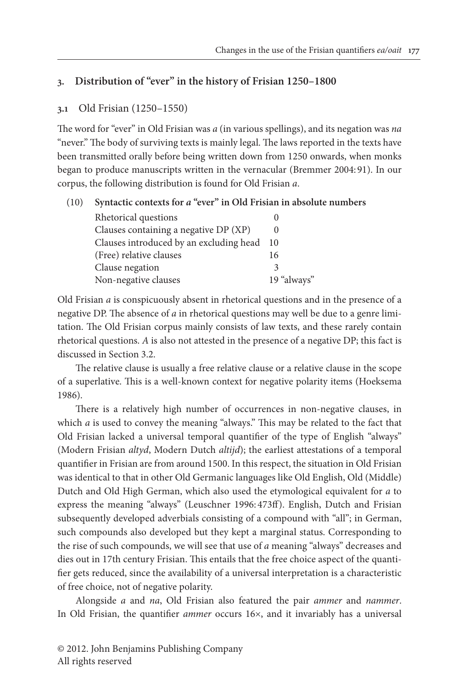# **3. Distribution of "ever" in the history of Frisian 1250–1800**

# **3.1**  Old Frisian (1250–1550)

The word for "ever" in Old Frisian was *a* (in various spellings), and its negation was *na* "never." The body of surviving texts is mainly legal. The laws reported in the texts have been transmitted orally before being written down from 1250 onwards, when monks began to produce manuscripts written in the vernacular [\(Bremmer 2004](#page-18-12): 91). In our corpus, the following distribution is found for Old Frisian *a*.

#### (10) **Syntactic contexts for** *a* **"ever" in Old Frisian in absolute numbers**

| Rhetorical questions                       |             |
|--------------------------------------------|-------------|
| Clauses containing a negative DP (XP)      |             |
| Clauses introduced by an excluding head 10 |             |
| (Free) relative clauses                    | 16          |
| Clause negation                            | 3           |
| Non-negative clauses                       | 19 "always" |

Old Frisian *a* is conspicuously absent in rhetorical questions and in the presence of a negative DP. The absence of *a* in rhetorical questions may well be due to a genre limitation. The Old Frisian corpus mainly consists of law texts, and these rarely contain rhetorical questions. *A* is also not attested in the presence of a negative DP; this fact is discussed in Section 3.2.

The relative clause is usually a free relative clause or a relative clause in the scope of a superlative. This is a well-known context for negative polarity items ([Hoeksema](#page-18-13)  [1986\)](#page-18-13).

There is a relatively high number of occurrences in non-negative clauses, in which *a* is used to convey the meaning "always." This may be related to the fact that Old Frisian lacked a universal temporal quantifier of the type of English "always" (Modern Frisian *altyd*, Modern Dutch *altijd*); the earliest attestations of a temporal quantifier in Frisian are from around 1500. In this respect, the situation in Old Frisian was identical to that in other Old Germanic languages like Old English, Old (Middle) Dutch and Old High German, which also used the etymological equivalent for *a* to express the meaning "always" ([Leuschner 1996:](#page-18-0) 473ff). English, Dutch and Frisian subsequently developed adverbials consisting of a compound with "all"; in German, such compounds also developed but they kept a marginal status. Corresponding to the rise of such compounds, we will see that use of *a* meaning "always" decreases and dies out in 17th century Frisian. This entails that the free choice aspect of the quantifier gets reduced, since the availability of a universal interpretation is a characteristic of free choice, not of negative polarity.

Alongside *a* and *na*, Old Frisian also featured the pair *ammer* and *nammer*. In Old Frisian, the quantifier *ammer* occurs 16×, and it invariably has a universal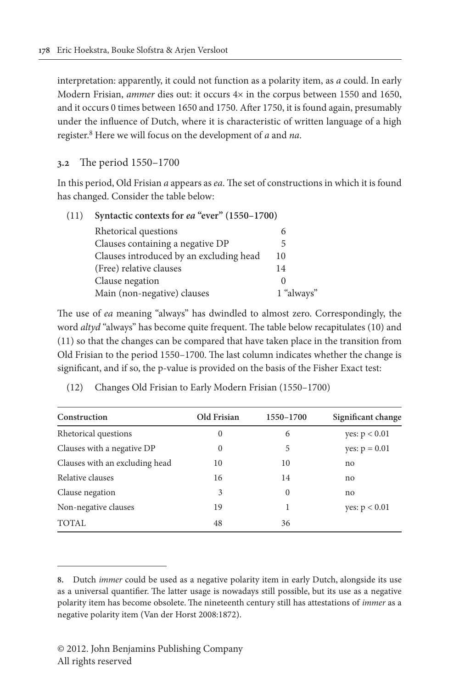interpretation: apparently, it could not function as a polarity item, as *a* could. In early Modern Frisian, *ammer* dies out: it occurs 4× in the corpus between 1550 and 1650, and it occurs 0 times between 1650 and 1750. After 1750, it is found again, presumably under the influence of Dutch, where it is characteristic of written language of a high register.8 Here we will focus on the development of *a* and *na*.

# **3.2** The period 1550–1700

In this period, Old Frisian *a* appears as *ea*. The set of constructions in which it is found has changed. Consider the table below:

| (11) | Syntactic contexts for ea "ever" (1550-1700) |            |  |  |
|------|----------------------------------------------|------------|--|--|
|      | Rhetorical questions                         |            |  |  |
|      | Clauses containing a negative DP             | 5          |  |  |
|      | Clauses introduced by an excluding head      | 10         |  |  |
|      | (Free) relative clauses                      | 14         |  |  |
|      | Clause negation                              |            |  |  |
|      | Main (non-negative) clauses                  | 1 "always" |  |  |

The use of *ea* meaning "always" has dwindled to almost zero. Correspondingly, the word *altyd* "always" has become quite frequent. The table below recapitulates (10) and (11) so that the changes can be compared that have taken place in the transition from Old Frisian to the period 1550–1700. The last column indicates whether the change is significant, and if so, the p-value is provided on the basis of the Fisher Exact test:

| Construction                   | Old Frisian | 1550-1700 | Significant change |
|--------------------------------|-------------|-----------|--------------------|
| Rhetorical questions           | $\Omega$    | 6         | yes: $p < 0.01$    |
| Clauses with a negative DP     | $\Omega$    | 5         | yes: $p = 0.01$    |
| Clauses with an excluding head | 10          | 10        | no                 |
| Relative clauses               | 16          | 14        | no                 |
| Clause negation                | 3           | $\Omega$  | no                 |
| Non-negative clauses           | 19          |           | yes: $p < 0.01$    |
| <b>TOTAL</b>                   | 48          | 36        |                    |

(12) Changes Old Frisian to Early Modern Frisian (1550–1700)

**<sup>8.</sup>**  Dutch *immer* could be used as a negative polarity item in early Dutch, alongside its use as a universal quantifier. The latter usage is nowadays still possible, but its use as a negative polarity item has become obsolete. The nineteenth century still has attestations of *immer* as a negative polarity item [\(Van der Horst 2008:](#page-18-14)1872).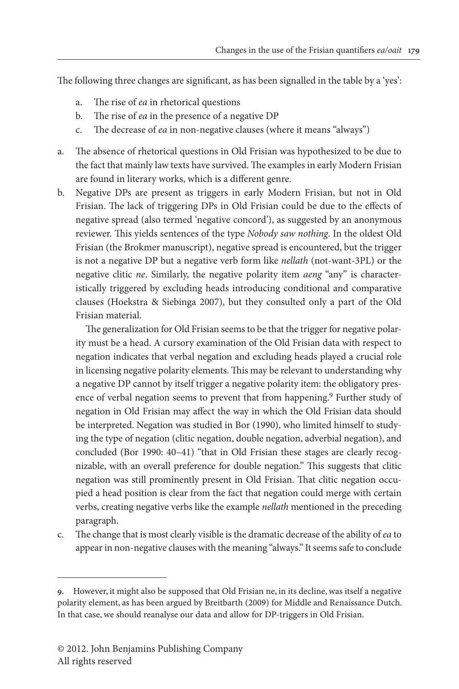The following three changes are significant, as has been signalled in the table by a 'yes':

- a. The rise of *ea* in rhetorical questions
- b. The rise of *ea* in the presence of a negative DP
- c. The decrease of *ea* in non-negative clauses (where it means "always")
- a. The absence of rhetorical questions in Old Frisian was hypothesized to be due to the fact that mainly law texts have survived. The examples in early Modern Frisian are found in literary works, which is a different genre.
- b. Negative DPs are present as triggers in early Modern Frisian, but not in Old Frisian. The lack of triggering DPs in Old Frisian could be due to the effects of negative spread (also termed 'negative concord'), as suggested by an anonymous reviewer. This yields sentences of the type *Nobody saw nothing*. In the oldest Old Frisian (the Brokmer manuscript), negative spread is encountered, but the trigger is not a negative DP but a negative verb form like *nellath* (not-want-3PL) or the negative clitic *ne*. Similarly, the negative polarity item *aeng* "any" is characteristically triggered by excluding heads introducing conditional and comparative clauses ([Hoekstra & Siebinga 2007\)](#page-18-15), but they consulted only a part of the Old Frisian material.

 The generalization for Old Frisian seems to be that the trigger for negative polarity must be a head. A cursory examination of the Old Frisian data with respect to negation indicates that verbal negation and excluding heads played a crucial role in licensing negative polarity elements. This may be relevant to understanding why a negative DP cannot by itself trigger a negative polarity item: the obligatory presence of verbal negation seems to prevent that from happening.<sup>9</sup> Further study of negation in Old Frisian may affect the way in which the Old Frisian data should be interpreted. Negation was studied in [Bor \(1990\)](#page-17-0), who limited himself to studying the type of negation (clitic negation, double negation, adverbial negation), and concluded [\(Bor 1990](#page-17-0): 40–41) "that in Old Frisian these stages are clearly recognizable, with an overall preference for double negation." This suggests that clitic negation was still prominently present in Old Frisian. That clitic negation occupied a head position is clear from the fact that negation could merge with certain verbs, creating negative verbs like the example *nellath* mentioned in the preceding paragraph.

c. The change that is most clearly visible is the dramatic decrease of the ability of *ea* to appear in non-negative clauses with the meaning "always." It seems safe to conclude

**<sup>9.</sup>**  However, it might also be supposed that Old Frisian ne, in its decline, was itself a negative polarity element, as has been argued by [Breitbarth \(2009\)](#page-17-1) for Middle and Renaissance Dutch. In that case, we should reanalyse our data and allow for DP-triggers in Old Frisian.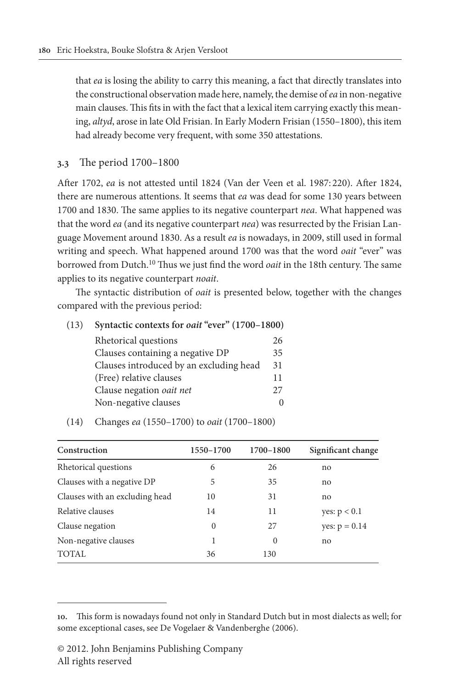that *ea* is losing the ability to carry this meaning, a fact that directly translates into the constructional observation made here, namely, the demise of *ea* in non-negative main clauses. This fits in with the fact that a lexical item carrying exactly this meaning, *altyd*, arose in late Old Frisian. In Early Modern Frisian (1550–1800), this item had already become very frequent, with some 350 attestations.

## **3.3**  The period 1700–1800

After 1702, *ea* is not attested until 1824 [\(Van der Veen et al. 1987:](#page-19-8) 220). After 1824, there are numerous attentions. It seems that *ea* was dead for some 130 years between 1700 and 1830. The same applies to its negative counterpart *nea*. What happened was that the word *ea* (and its negative counterpart *nea*) was resurrected by the Frisian Language Movement around 1830. As a result *ea* is nowadays, in 2009, still used in formal writing and speech. What happened around 1700 was that the word *oait* "ever" was borrowed from Dutch.10 Thus we just find the word *oait* in the 18th century. The same applies to its negative counterpart *noait*.

The syntactic distribution of *oait* is presented below, together with the changes compared with the previous period:

| (13) | Syntactic contexts for <i>oait</i> "ever" (1700-1800) |                                         |    |
|------|-------------------------------------------------------|-----------------------------------------|----|
|      |                                                       | Rhetorical questions                    | 26 |
|      |                                                       | Clauses containing a negative DP        | 35 |
|      |                                                       | Clauses introduced by an excluding head | 31 |
|      | (Free) relative clauses                               | 11                                      |    |
|      | Clause negation <i>oait net</i>                       | 27                                      |    |
|      | Non-negative clauses                                  |                                         |    |
|      |                                                       |                                         |    |

| Construction                   | 1550-1700 | 1700-1800 | Significant change |
|--------------------------------|-----------|-----------|--------------------|
| Rhetorical questions           | 6         | 26        | no                 |
| Clauses with a negative DP     | 5         | 35        | no                 |
| Clauses with an excluding head | 10        | 31        | no                 |
| Relative clauses               | 14        | 11        | yes: $p < 0.1$     |
| Clause negation                | $\theta$  | 27        | yes: $p = 0.14$    |
| Non-negative clauses           | 1         | $\Omega$  | no                 |
| <b>TOTAL</b>                   | 36        | 130       |                    |

<sup>(14)</sup> Changes *ea* (1550–1700) to *oait* (1700–1800)

**<sup>10.</sup>**  This form is nowadays found not only in Standard Dutch but in most dialects as well; for some exceptional cases, see [De Vogelaer & Vandenberghe \(2006\).](#page-19-9)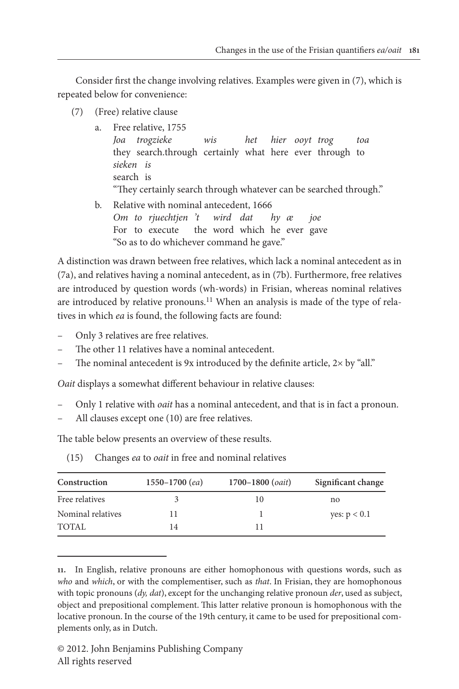Consider first the change involving relatives. Examples were given in (7), which is repeated below for convenience:

- (7) (Free) relative clause
	- a. Free relative, 1755 *Joa trogzieke wis het hier ooyt trog toa* they search.through certainly what here ever through to *sieken is* search is "They certainly search through whatever can be searched through." b. Relative with nominal antecedent, 1666
	- *Om to rjuechtjen 't wird dat hy æ joe* For to execute the word which he ever gave "So as to do whichever command he gave."

A distinction was drawn between free relatives, which lack a nominal antecedent as in (7a), and relatives having a nominal antecedent, as in (7b). Furthermore, free relatives are introduced by question words (wh-words) in Frisian, whereas nominal relatives are introduced by relative pronouns.<sup>11</sup> When an analysis is made of the type of relatives in which *ea* is found, the following facts are found:

- Only 3 relatives are free relatives.
- The other 11 relatives have a nominal antecedent.
- The nominal antecedent is 9x introduced by the definite article,  $2 \times$  by "all."

*Oait* displays a somewhat different behaviour in relative clauses:

- Only 1 relative with *oait* has a nominal antecedent, and that is in fact a pronoun.
- All clauses except one (10) are free relatives.

The table below presents an overview of these results.

| Construction      | $1550 - 1700$ (ea) | $1700 - 1800$ ( <i>oait</i> ) | Significant change |
|-------------------|--------------------|-------------------------------|--------------------|
| Free relatives    |                    | 10                            | no                 |
| Nominal relatives |                    |                               | yes: $p < 0.1$     |
| <b>TOTAL</b>      | 14                 |                               |                    |

(15) Changes *ea* to *oait* in free and nominal relatives

**<sup>11.</sup>**  In English, relative pronouns are either homophonous with questions words, such as *who* and *which*, or with the complementiser, such as *that*. In Frisian, they are homophonous with topic pronouns (*dy, dat*), except for the unchanging relative pronoun *der*, used as subject, object and prepositional complement. This latter relative pronoun is homophonous with the locative pronoun. In the course of the 19th century, it came to be used for prepositional complements only, as in Dutch.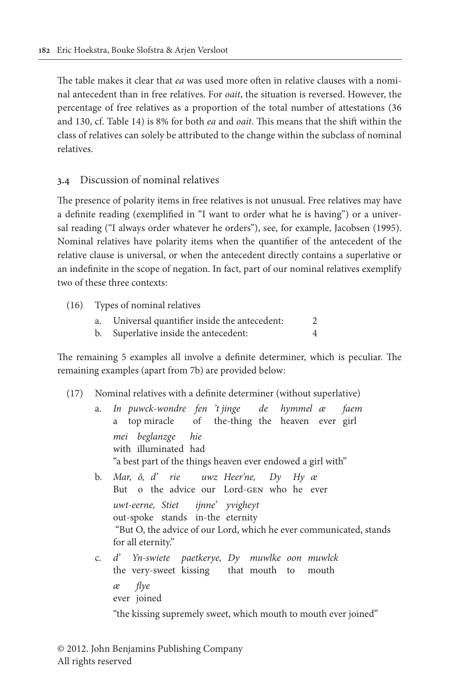The table makes it clear that *ea* was used more often in relative clauses with a nominal antecedent than in free relatives. For *oait*, the situation is reversed. However, the percentage of free relatives as a proportion of the total number of attestations (36 and 130, cf. Table 14) is 8% for both *ea* and *oait*. This means that the shift within the class of relatives can solely be attributed to the change within the subclass of nominal relatives.

**3.4**  Discussion of nominal relatives

The presence of polarity items in free relatives is not unusual. Free relatives may have a definite reading (exemplified in "I want to order what he is having") or a universal reading ("I always order whatever he orders"), see, for example, [Jacobsen \(1995\).](#page-18-16) Nominal relatives have polarity items when the quantifier of the antecedent of the relative clause is universal, or when the antecedent directly contains a superlative or an indefinite in the scope of negation. In fact, part of our nominal relatives exemplify two of these three contexts:

- (16) Types of nominal relatives
	- a. Universal quantifier inside the antecedent: 2
	- b. Superlative inside the antecedent: 4

The remaining 5 examples all involve a definite determiner, which is peculiar. The remaining examples (apart from 7b) are provided below:

- (17) Nominal relatives with a definite determiner (without superlative)
	- a. *In puwck-wondre fen 't jinge de hymmel æ faem* a top miracle of the-thing the heaven ever girl *mei beglanzge hie* with illuminated had "a best part of the things heaven ever endowed a girl with"
	- b. *Mar, ô, d' rie uwz Heer'ne, Dy Hy æ* But o the advice our Lord-gen who he ever *uwt-eerne, Stiet ijnne' yvigheyt* out-spoke stands in-the eternity "But O, the advice of our Lord, which he ever communicated, stands for all eternity."
	- c. *d' Yn-swiete paetkerye, Dy muwlke oon muwlck* the very-sweet kissing that mouth to mouth *æ flye* ever joined "the kissing supremely sweet, which mouth to mouth ever joined"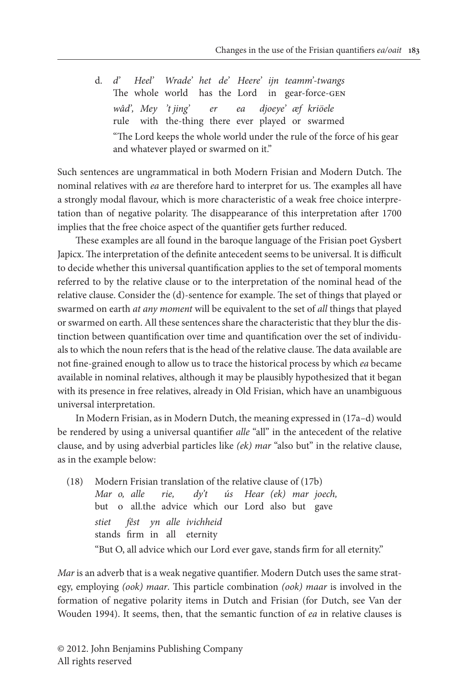d. *d' Heel' Wrade' het de' Heere' ijn teamm'-twangs* The whole world has the Lord in gear-force-gen *wâd', Mey 't jing' er ea djoeye' æf kriöele* rule with the-thing there ever played or swarmed "The Lord keeps the whole world under the rule of the force of his gear and whatever played or swarmed on it."

Such sentences are ungrammatical in both Modern Frisian and Modern Dutch. The nominal relatives with *ea* are therefore hard to interpret for us. The examples all have a strongly modal flavour, which is more characteristic of a weak free choice interpretation than of negative polarity. The disappearance of this interpretation after 1700 implies that the free choice aspect of the quantifier gets further reduced.

These examples are all found in the baroque language of the Frisian poet Gysbert Japicx. The interpretation of the definite antecedent seems to be universal. It is difficult to decide whether this universal quantification applies to the set of temporal moments referred to by the relative clause or to the interpretation of the nominal head of the relative clause. Consider the (d)-sentence for example. The set of things that played or swarmed on earth *at any moment* will be equivalent to the set of *all* things that played or swarmed on earth. All these sentences share the characteristic that they blur the distinction between quantification over time and quantification over the set of individuals to which the noun refers that is the head of the relative clause. The data available are not fine-grained enough to allow us to trace the historical process by which *ea* became available in nominal relatives, although it may be plausibly hypothesized that it began with its presence in free relatives, already in Old Frisian, which have an unambiguous universal interpretation.

In Modern Frisian, as in Modern Dutch, the meaning expressed in (17a–d) would be rendered by using a universal quantifier *alle* "all" in the antecedent of the relative clause, and by using adverbial particles like *(ek) mar* "also but" in the relative clause, as in the example below:

(18) Modern Frisian translation of the relative clause of (17b) *Mar o, alle rie, dy't ús Hear (ek) mar joech,* but o all.the advice which our Lord also but gave *stiet fêst yn alle ivichheid* stands firm in all eternity "But O, all advice which our Lord ever gave, stands firm for all eternity."

*Mar* is an adverb that is a weak negative quantifier. Modern Dutch uses the same strategy, employing *(ook) maar*. This particle combination *(ook) maar* is involved in the formation of negative polarity items in Dutch and Frisian (for Dutch, see Van der [Wouden 1994\)](#page-19-3). It seems, then, that the semantic function of *ea* in relative clauses is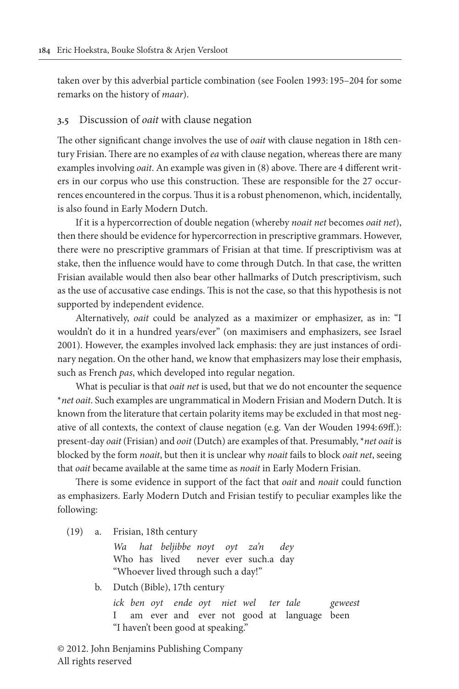taken over by this adverbial particle combination (see [Foolen 1993:](#page-18-17) 195–204 for some remarks on the history of *maar*).

#### **3.5**  Discussion of *oait* with clause negation

The other significant change involves the use of *oait* with clause negation in 18th century Frisian. There are no examples of *ea* with clause negation, whereas there are many examples involving *oait*. An example was given in (8) above. There are 4 different writers in our corpus who use this construction. These are responsible for the 27 occurrences encountered in the corpus. Thus it is a robust phenomenon, which, incidentally, is also found in Early Modern Dutch.

If it is a hypercorrection of double negation (whereby *noait net* becomes *oait net*), then there should be evidence for hypercorrection in prescriptive grammars. However, there were no prescriptive grammars of Frisian at that time. If prescriptivism was at stake, then the influence would have to come through Dutch. In that case, the written Frisian available would then also bear other hallmarks of Dutch prescriptivism, such as the use of accusative case endings. This is not the case, so that this hypothesis is not supported by independent evidence.

Alternatively, *oait* could be analyzed as a maximizer or emphasizer, as in: "I wouldn't do it in a hundred years/ever" (on maximisers and emphasizers, see [Israel](#page-18-18)  [2001\)](#page-18-18). However, the examples involved lack emphasis: they are just instances of ordinary negation. On the other hand, we know that emphasizers may lose their emphasis, such as French *pas*, which developed into regular negation.

What is peculiar is that *oait net* is used, but that we do not encounter the sequence \**net oait*. Such examples are ungrammatical in Modern Frisian and Modern Dutch. It is known from the literature that certain polarity items may be excluded in that most negative of all contexts, the context of clause negation (e.g. [Van der Wouden 1994](#page-19-3):69ff.): present-day *oait* (Frisian) and *ooit* (Dutch) are examples of that. Presumably, \**net oait* is blocked by the form *noait*, but then it is unclear why *noait* fails to block *oait net*, seeing that *oait* became available at the same time as *noait* in Early Modern Frisian.

There is some evidence in support of the fact that *oait* and *noait* could function as emphasizers. Early Modern Dutch and Frisian testify to peculiar examples like the following:

(19) a. Frisian, 18th century

 *Wa hat beljibbe noyt oyt za'n dey* Who has lived never ever such.a day "Whoever lived through such a day!"

b. Dutch (Bible), 17th century

 *ick ben oyt ende oyt niet wel ter tale geweest* am ever and ever not good at language been "I haven't been good at speaking."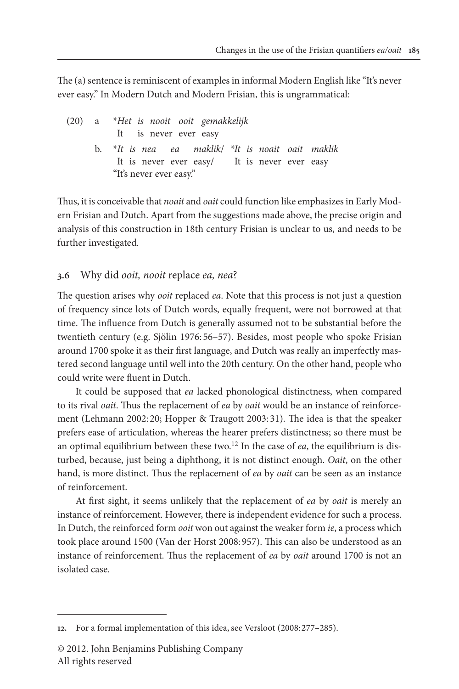The (a) sentence is reminiscent of examples in informal Modern English like "It's never ever easy." In Modern Dutch and Modern Frisian, this is ungrammatical:

|  | $(20)$ a *Het is nooit ooit gemakkelijk           |  |  |  |  |  |
|--|---------------------------------------------------|--|--|--|--|--|
|  | It is never ever easy                             |  |  |  |  |  |
|  | b. *It is nea ea maklik/ *It is noait oait maklik |  |  |  |  |  |
|  | It is never ever easy It is never ever easy       |  |  |  |  |  |
|  | "It's never ever easy."                           |  |  |  |  |  |

Thus, it is conceivable that *noait* and *oait* could function like emphasizes in Early Modern Frisian and Dutch. Apart from the suggestions made above, the precise origin and analysis of this construction in 18th century Frisian is unclear to us, and needs to be further investigated.

## **3.6**  Why did *ooit, nooit* replace *ea, nea*?

The question arises why *ooit* replaced *ea*. Note that this process is not just a question of frequency since lots of Dutch words, equally frequent, were not borrowed at that time. The influence from Dutch is generally assumed not to be substantial before the twentieth century (e.g. [Sjölin 1976](#page-18-19): 56–57). Besides, most people who spoke Frisian around 1700 spoke it as their first language, and Dutch was really an imperfectly mastered second language until well into the 20th century. On the other hand, people who could write were fluent in Dutch.

It could be supposed that *ea* lacked phonological distinctness, when compared to its rival *oait*. Thus the replacement of *ea* by *oait* would be an instance of reinforcement ([Lehmann 2002:](#page-18-20) 20; Hopper & Traugott 2003: 31). The idea is that the speaker prefers ease of articulation, whereas the hearer prefers distinctness; so there must be an optimal equilibrium between these two.12 In the case of *ea*, the equilibrium is disturbed, because, just being a diphthong, it is not distinct enough. *Oait*, on the other hand, is more distinct. Thus the replacement of *ea* by *oait* can be seen as an instance of reinforcement.

At first sight, it seems unlikely that the replacement of *ea* by *oait* is merely an instance of reinforcement. However, there is independent evidence for such a process. In Dutch, the reinforced form *ooit* won out against the weaker form *ie*, a process which took place around 1500 [\(Van der Horst 2008](#page-18-14): 957). This can also be understood as an instance of reinforcement. Thus the replacement of *ea* by *oait* around 1700 is not an isolated case.

**<sup>12.</sup>**  For a formal implementation of this idea, see [Versloot \(2008:](#page-19-10)277–285).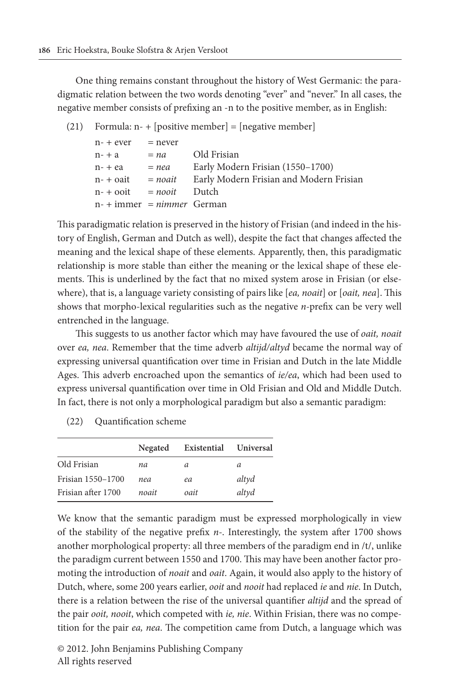One thing remains constant throughout the history of West Germanic: the paradigmatic relation between the two words denoting "ever" and "never." In all cases, the negative member consists of prefixing an -n to the positive member, as in English:

(21) Formula:  $n - +$  [positive member] = [negative member]

| $n - +$ ever = never                           |         |                                         |
|------------------------------------------------|---------|-----------------------------------------|
| $n - + a$                                      | $= na$  | Old Frisian                             |
| $n - + ea$                                     | $=$ nea | Early Modern Frisian (1550-1700)        |
| $n - + oait$ = <i>noait</i>                    |         | Early Modern Frisian and Modern Frisian |
| $n - + \text{oot} = \text{nooit}$ Dutch        |         |                                         |
| $n - +  \text{immer} = \textit{nimmer}$ German |         |                                         |
|                                                |         |                                         |

This paradigmatic relation is preserved in the history of Frisian (and indeed in the history of English, German and Dutch as well), despite the fact that changes affected the meaning and the lexical shape of these elements. Apparently, then, this paradigmatic relationship is more stable than either the meaning or the lexical shape of these elements. This is underlined by the fact that no mixed system arose in Frisian (or elsewhere), that is, a language variety consisting of pairs like [*ea, noait*] or [*oait, nea*]. This shows that morpho-lexical regularities such as the negative *n-*prefix can be very well entrenched in the language.

This suggests to us another factor which may have favoured the use of *oait, noait* over *ea, nea*. Remember that the time adverb *altijd/altyd* became the normal way of expressing universal quantification over time in Frisian and Dutch in the late Middle Ages. This adverb encroached upon the semantics of *ie/ea*, which had been used to express universal quantification over time in Old Frisian and Old and Middle Dutch. In fact, there is not only a morphological paradigm but also a semantic paradigm:

| Negated | Existential | Universal |
|---------|-------------|-----------|
| na      | a           | a         |
| nea     | ea          | altyd     |
| noait   | oait        | altyd     |
|         |             |           |

(22) Quantification scheme

We know that the semantic paradigm must be expressed morphologically in view of the stability of the negative prefix *n-*. Interestingly, the system after 1700 shows another morphological property: all three members of the paradigm end in /t/, unlike the paradigm current between 1550 and 1700. This may have been another factor promoting the introduction of *noait* and *oait*. Again, it would also apply to the history of Dutch, where, some 200 years earlier, *ooit* and *nooit* had replaced *ie* and *nie*. In Dutch, there is a relation between the rise of the universal quantifier *altijd* and the spread of the pair *ooit, nooit*, which competed with *ie, nie*. Within Frisian, there was no competition for the pair *ea, nea*. The competition came from Dutch, a language which was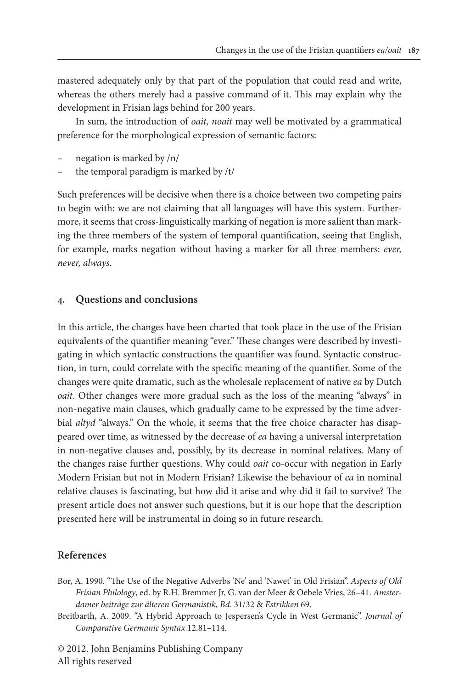mastered adequately only by that part of the population that could read and write, whereas the others merely had a passive command of it. This may explain why the development in Frisian lags behind for 200 years.

In sum, the introduction of *oait, noait* may well be motivated by a grammatical preference for the morphological expression of semantic factors:

- negation is marked by /n/
- the temporal paradigm is marked by /t/

Such preferences will be decisive when there is a choice between two competing pairs to begin with: we are not claiming that all languages will have this system. Furthermore, it seems that cross-linguistically marking of negation is more salient than marking the three members of the system of temporal quantification, seeing that English, for example, marks negation without having a marker for all three members: *ever, never, always*.

## **4. Questions and conclusions**

In this article, the changes have been charted that took place in the use of the Frisian equivalents of the quantifier meaning "ever." These changes were described by investigating in which syntactic constructions the quantifier was found. Syntactic construction, in turn, could correlate with the specific meaning of the quantifier. Some of the changes were quite dramatic, such as the wholesale replacement of native *ea* by Dutch *oait*. Other changes were more gradual such as the loss of the meaning "always" in non-negative main clauses, which gradually came to be expressed by the time adverbial *altyd* "always." On the whole, it seems that the free choice character has disappeared over time, as witnessed by the decrease of *ea* having a universal interpretation in non-negative clauses and, possibly, by its decrease in nominal relatives. Many of the changes raise further questions. Why could *oait* co-occur with negation in Early Modern Frisian but not in Modern Frisian? Likewise the behaviour of *ea* in nominal relative clauses is fascinating, but how did it arise and why did it fail to survive? The present article does not answer such questions, but it is our hope that the description presented here will be instrumental in doing so in future research.

## **References**

- <span id="page-17-0"></span>Bor, A. 1990. "The Use of the Negative Adverbs 'Ne' and 'Nawet' in Old Frisian". *Aspects of Old Frisian Philology*, ed. by R.H. Bremmer Jr, G. van der Meer & Oebele Vries, 26–41. *Amsterdamer beiträge zur älteren Germanistik*, *Bd*. 31/32 & *Estrikken* 69.
- <span id="page-17-1"></span>Breitbarth, A. 2009. "A Hybrid Approach to Jespersen's Cycle in West Germanic". *Journal of Comparative Germanic Syntax* 12.81–114.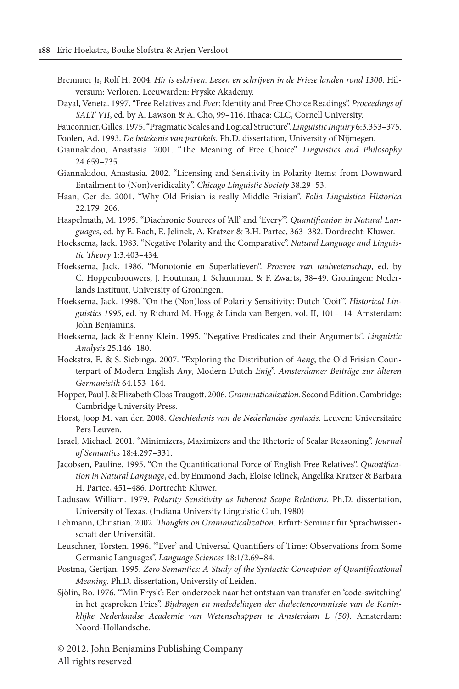- <span id="page-18-12"></span>Bremmer Jr, Rolf H. 2004. *Hir is eskriven. Lezen en schrijven in de Friese landen rond 1300*. Hilversum: Verloren. Leeuwarden: Fryske Akademy.
- <span id="page-18-11"></span>Dayal, Veneta. 1997. "Free Relatives and *Ever*: Identity and Free Choice Readings". *Proceedings of SALT VII*, ed. by A. Lawson & A. Cho, 99–116. Ithaca: CLC, Cornell University.
- <span id="page-18-6"></span>Fauconnier, Gilles. 1975. "Pragmatic Scales and Logical Structure". *Linguistic Inquiry* 6:3.353–375.

<span id="page-18-17"></span>Foolen, Ad. 1993. *De betekenis van partikels*. Ph.D. dissertation, University of Nijmegen.

- <span id="page-18-4"></span>Giannakidou, Anastasia. 2001. "The Meaning of Free Choice". *Linguistics and Philosophy* 24.659–735.
- <span id="page-18-5"></span>Giannakidou, Anastasia. 2002. "Licensing and Sensitivity in Polarity Items: from Downward Entailment to (Non)veridicality". *Chicago Linguistic Society* 38.29–53.
- <span id="page-18-3"></span>Haan, Ger de. 2001. "Why Old Frisian is really Middle Frisian". *Folia Linguistica Historica* 22.179–206.
- <span id="page-18-9"></span>Haspelmath, M. 1995. "Diachronic Sources of 'All' and 'Every'". *Quantification in Natural Languages*, ed. by E. Bach, E. Jelinek, A. Kratzer & B.H. Partee, 363–382. Dordrecht: Kluwer.
- <span id="page-18-7"></span>Hoeksema, Jack. 1983. "Negative Polarity and the Comparative". *Natural Language and Linguistic Theory* 1:3.403–434.
- <span id="page-18-13"></span>Hoeksema, Jack. 1986. "Monotonie en Superlatieven". *Proeven van taalwetenschap*, ed. by C. Hoppenbrouwers, J. Houtman, I. Schuurman & F. Zwarts, 38–49. Groningen: Nederlands Instituut, University of Groningen.
- <span id="page-18-1"></span>Hoeksema, Jack. 1998. "On the (Non)loss of Polarity Sensitivity: Dutch 'Ooit'". *Historical Linguistics 1995*, ed. by Richard M. Hogg & Linda van Bergen, vol. II, 101–114. Amsterdam: John Benjamins.
- <span id="page-18-10"></span>Hoeksema, Jack & Henny Klein. 1995. "Negative Predicates and their Arguments". *Linguistic Analysis* 25.146–180.
- <span id="page-18-15"></span>Hoekstra, E. & S. Siebinga. 2007. "Exploring the Distribution of *Aeng*, the Old Frisian Counterpart of Modern English *Any*, Modern Dutch *Enig*". *Amsterdamer Beiträge zur älteren Germanistik* 64.153–164.
- Hopper, Paul J. & Elizabeth Closs Traugott. 2006. *Grammaticalization*. Second Edition. Cambridge: Cambridge University Press.
- <span id="page-18-14"></span>Horst, Joop M. van der. 2008. *Geschiedenis van de Nederlandse syntaxis*. Leuven: Universitaire Pers Leuven.
- <span id="page-18-18"></span>Israel, Michael. 2001. "Minimizers, Maximizers and the Rhetoric of Scalar Reasoning". *Journal of Semantics* 18:4.297–331.
- <span id="page-18-16"></span>Jacobsen, Pauline. 1995. "On the Quantificational Force of English Free Relatives". *Quantification in Natural Language*, ed. by Emmond Bach, Eloise Jelinek, Angelika Kratzer & Barbara H. Partee, 451–486. Dortrecht: Kluwer.
- <span id="page-18-8"></span>Ladusaw, William. 1979. *Polarity Sensitivity as Inherent Scope Relations*. Ph.D. dissertation, University of Texas. (Indiana University Linguistic Club, 1980)
- <span id="page-18-20"></span>Lehmann, Christian. 2002. *Thoughts on Grammaticalization*. Erfurt: Seminar für Sprachwissenschaft der Universität.
- <span id="page-18-0"></span>Leuschner, Torsten. 1996. "'Ever' and Universal Quantifiers of Time: Observations from Some Germanic Languages". *Language Sciences* 18:1/2.69–84.
- <span id="page-18-2"></span>Postma, Gertjan. 1995. *Zero Semantics: A Study of the Syntactic Conception of Quantificational Meaning*. Ph.D. dissertation, University of Leiden.
- <span id="page-18-19"></span>Sjölin, Bo. 1976. "'Min Frysk': Een onderzoek naar het ontstaan van transfer en 'code-switching' in het gesproken Fries". *Bijdragen en mededelingen der dialectencommissie van de Koninklijke Nederlandse Academie van Wetenschappen te Amsterdam L (50)*. Amsterdam: Noord-Hollandsche.